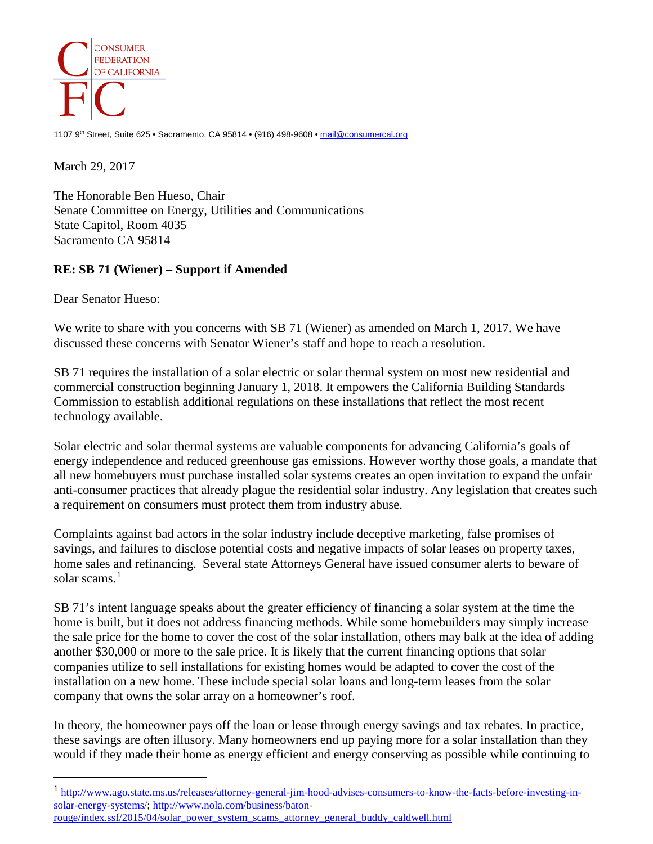

1107 9<sup>th</sup> Street, Suite 625 • Sacramento, CA 95814 • (916) 498-9608 [• mail@consumercal.org](mailto:mail@consumercal.org)

March 29, 2017

The Honorable Ben Hueso, Chair Senate Committee on Energy, Utilities and Communications State Capitol, Room 4035 Sacramento CA 95814

## **RE: SB 71 (Wiener) – Support if Amended**

Dear Senator Hueso:

 $\overline{a}$ 

We write to share with you concerns with SB 71 (Wiener) as amended on March 1, 2017. We have discussed these concerns with Senator Wiener's staff and hope to reach a resolution.

SB 71 requires the installation of a solar electric or solar thermal system on most new residential and commercial construction beginning January 1, 2018. It empowers the California Building Standards Commission to establish additional regulations on these installations that reflect the most recent technology available.

Solar electric and solar thermal systems are valuable components for advancing California's goals of energy independence and reduced greenhouse gas emissions. However worthy those goals, a mandate that all new homebuyers must purchase installed solar systems creates an open invitation to expand the unfair anti-consumer practices that already plague the residential solar industry. Any legislation that creates such a requirement on consumers must protect them from industry abuse.

Complaints against bad actors in the solar industry include deceptive marketing, false promises of savings, and failures to disclose potential costs and negative impacts of solar leases on property taxes, home sales and refinancing. Several state Attorneys General have issued consumer alerts to beware of solar scams. $<sup>1</sup>$  $<sup>1</sup>$  $<sup>1</sup>$ </sup>

SB 71's intent language speaks about the greater efficiency of financing a solar system at the time the home is built, but it does not address financing methods. While some homebuilders may simply increase the sale price for the home to cover the cost of the solar installation, others may balk at the idea of adding another \$30,000 or more to the sale price. It is likely that the current financing options that solar companies utilize to sell installations for existing homes would be adapted to cover the cost of the installation on a new home. These include special solar loans and long-term leases from the solar company that owns the solar array on a homeowner's roof.

In theory, the homeowner pays off the loan or lease through energy savings and tax rebates. In practice, these savings are often illusory. Many homeowners end up paying more for a solar installation than they would if they made their home as energy efficient and energy conserving as possible while continuing to

<span id="page-0-0"></span><sup>1</sup> [http://www.ago.state.ms.us/releases/attorney-general-jim-hood-advises-consumers-to-know-the-facts-before-investing-in](http://www.ago.state.ms.us/releases/attorney-general-jim-hood-advises-consumers-to-know-the-facts-before-investing-in-solar-energy-systems/)[solar-energy-systems/;](http://www.ago.state.ms.us/releases/attorney-general-jim-hood-advises-consumers-to-know-the-facts-before-investing-in-solar-energy-systems/) [http://www.nola.com/business/baton](http://www.nola.com/business/baton-rouge/index.ssf/2015/04/solar_power_system_scams_attorney_general_buddy_caldwell.html)[rouge/index.ssf/2015/04/solar\\_power\\_system\\_scams\\_attorney\\_general\\_buddy\\_caldwell.html](http://www.nola.com/business/baton-rouge/index.ssf/2015/04/solar_power_system_scams_attorney_general_buddy_caldwell.html)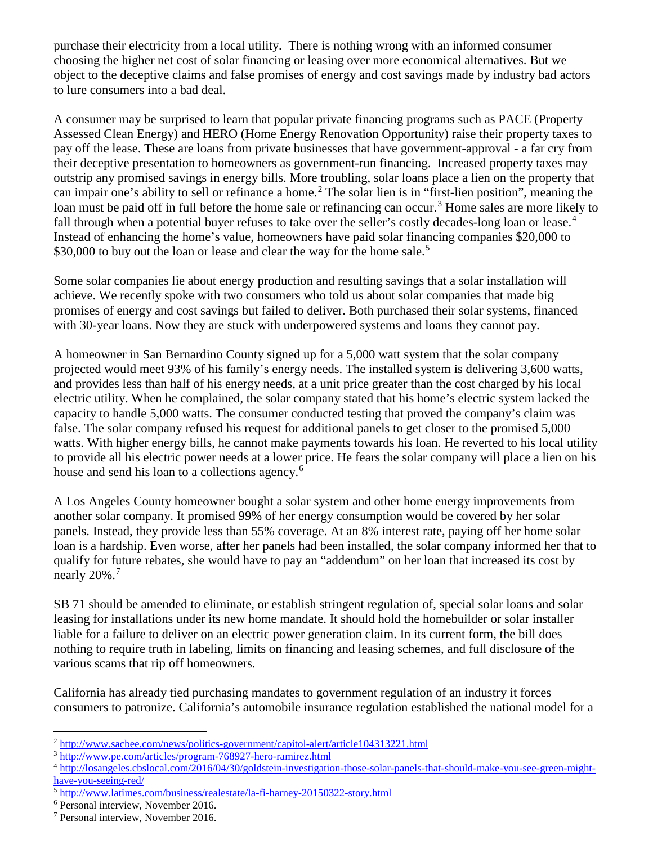purchase their electricity from a local utility. There is nothing wrong with an informed consumer choosing the higher net cost of solar financing or leasing over more economical alternatives. But we object to the deceptive claims and false promises of energy and cost savings made by industry bad actors to lure consumers into a bad deal.

A consumer may be surprised to learn that popular private financing programs such as PACE (Property Assessed Clean Energy) and HERO (Home Energy Renovation Opportunity) raise their property taxes to pay off the lease. These are loans from private businesses that have government-approval - a far cry from their deceptive presentation to homeowners as government-run financing. Increased property taxes may outstrip any promised savings in energy bills. More troubling, solar loans place a lien on the property that can impair one's ability to sell or refinance a home.<sup>[2](#page-1-0)</sup> The solar lien is in "first-lien position", meaning the loan must be paid off in full before the home sale or refinancing can occur.<sup>[3](#page-1-1)</sup> Home sales are more likely to fall through when a potential buyer refuses to take over the seller's costly decades-long loan or lease.<sup>[4](#page-1-2)</sup> Instead of enhancing the home's value, homeowners have paid solar financing companies \$20,000 to \$30,000 to buy out the loan or lease and clear the way for the home sale.<sup>[5](#page-1-3)</sup>

Some solar companies lie about energy production and resulting savings that a solar installation will achieve. We recently spoke with two consumers who told us about solar companies that made big promises of energy and cost savings but failed to deliver. Both purchased their solar systems, financed with 30-year loans. Now they are stuck with underpowered systems and loans they cannot pay.

A homeowner in San Bernardino County signed up for a 5,000 watt system that the solar company projected would meet 93% of his family's energy needs. The installed system is delivering 3,600 watts, and provides less than half of his energy needs, at a unit price greater than the cost charged by his local electric utility. When he complained, the solar company stated that his home's electric system lacked the capacity to handle 5,000 watts. The consumer conducted testing that proved the company's claim was false. The solar company refused his request for additional panels to get closer to the promised 5,000 watts. With higher energy bills, he cannot make payments towards his loan. He reverted to his local utility to provide all his electric power needs at a lower price. He fears the solar company will place a lien on his house and send his loan to a collections agency.<sup>[6](#page-1-4)</sup>

A Los Angeles County homeowner bought a solar system and other home energy improvements from another solar company. It promised 99% of her energy consumption would be covered by her solar panels. Instead, they provide less than 55% coverage. At an 8% interest rate, paying off her home solar loan is a hardship. Even worse, after her panels had been installed, the solar company informed her that to qualify for future rebates, she would have to pay an "addendum" on her loan that increased its cost by nearly 20%.<sup>[7](#page-1-5)</sup>

SB 71 should be amended to eliminate, or establish stringent regulation of, special solar loans and solar leasing for installations under its new home mandate. It should hold the homebuilder or solar installer liable for a failure to deliver on an electric power generation claim. In its current form, the bill does nothing to require truth in labeling, limits on financing and leasing schemes, and full disclosure of the various scams that rip off homeowners.

California has already tied purchasing mandates to government regulation of an industry it forces consumers to patronize. California's automobile insurance regulation established the national model for a

 $\overline{a}$ 

<span id="page-1-0"></span><sup>2</sup> <http://www.sacbee.com/news/politics-government/capitol-alert/article104313221.html>

<span id="page-1-1"></span><sup>3</sup> <http://www.pe.com/articles/program-768927-hero-ramirez.html>

<span id="page-1-2"></span><sup>4</sup> [http://losangeles.cbslocal.com/2016/04/30/goldstein-investigation-those-solar-panels-that-should-make-you-see-green-might](http://losangeles.cbslocal.com/2016/04/30/goldstein-investigation-those-solar-panels-that-should-make-you-see-green-might-have-you-seeing-red/)[have-you-seeing-red/](http://losangeles.cbslocal.com/2016/04/30/goldstein-investigation-those-solar-panels-that-should-make-you-see-green-might-have-you-seeing-red/)

<span id="page-1-3"></span><sup>5</sup> <http://www.latimes.com/business/realestate/la-fi-harney-20150322-story.html>

<span id="page-1-4"></span><sup>6</sup> Personal interview, November 2016.

<span id="page-1-5"></span><sup>7</sup> Personal interview, November 2016.